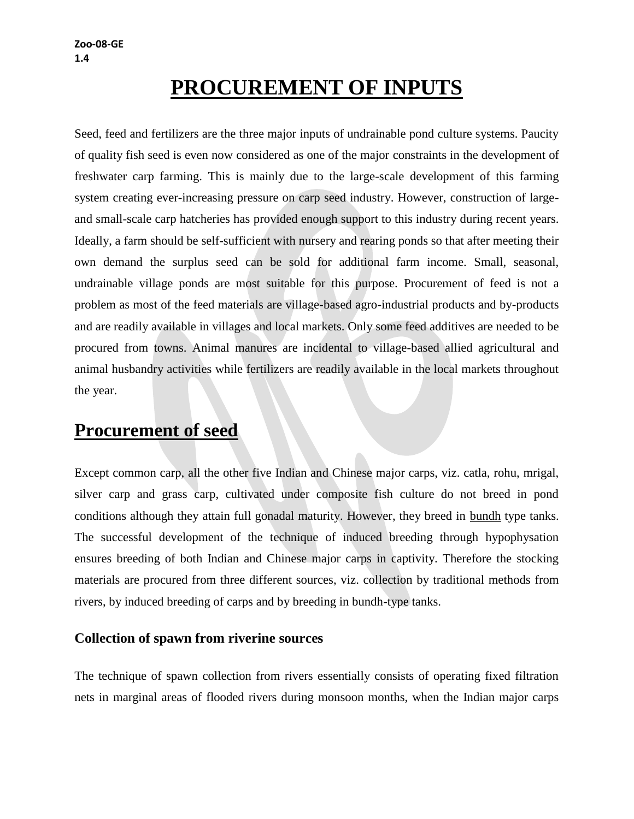# **PROCUREMENT OF INPUTS**

Seed, feed and fertilizers are the three major inputs of undrainable pond culture systems. Paucity of quality fish seed is even now considered as one of the major constraints in the development of freshwater carp farming. This is mainly due to the large-scale development of this farming system creating ever-increasing pressure on carp seed industry. However, construction of largeand small-scale carp hatcheries has provided enough support to this industry during recent years. Ideally, a farm should be self-sufficient with nursery and rearing ponds so that after meeting their own demand the surplus seed can be sold for additional farm income. Small, seasonal, undrainable village ponds are most suitable for this purpose. Procurement of feed is not a problem as most of the feed materials are village-based agro-industrial products and by-products and are readily available in villages and local markets. Only some feed additives are needed to be procured from towns. Animal manures are incidental to village-based allied agricultural and animal husbandry activities while fertilizers are readily available in the local markets throughout the year.

## **Procurement of seed**

Except common carp, all the other five Indian and Chinese major carps, viz. catla, rohu, mrigal, silver carp and grass carp, cultivated under composite fish culture do not breed in pond conditions although they attain full gonadal maturity. However, they breed in bundh type tanks. The successful development of the technique of induced breeding through hypophysation ensures breeding of both Indian and Chinese major carps in captivity. Therefore the stocking materials are procured from three different sources, viz. collection by traditional methods from rivers, by induced breeding of carps and by breeding in bundh-type tanks.

### **Collection of spawn from riverine sources**

The technique of spawn collection from rivers essentially consists of operating fixed filtration nets in marginal areas of flooded rivers during monsoon months, when the Indian major carps